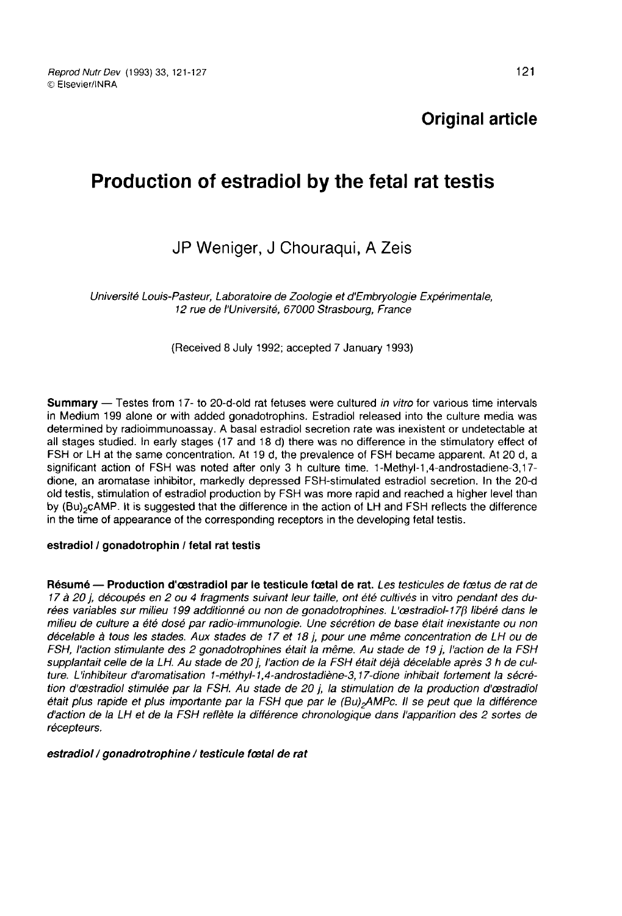Reprod Nutr Dev (1993) 33, 121-127 C Elsevier/INRA

# Production of estradiol by the fetal rat testis

## JP Weniger, J Chouraqui, A Zeis

Université Louis-Pasteur, Laboratoire de Zoologie et d'Embryologie Expérimentale, 12 rue de l'Université, 67000 Strasbourg, France

(Received 8 July 1992; accepted 7 January 1993)

Summary — Testes from 17- to 20-d-old rat fetuses were cultured in vitro for various time intervals in Medium 199 alone or with added gonadotrophins. Estradiol released into the culture media was determined by radioimmunoassay. A basal estradiol secretion rate was inexistent or undetectable at all stages studied. In early stages (17 and 18 d) there was no difference in the stimulatory effect of FSH or LH at the same concentration. At 19 d, the prevalence of FSH became apparent. At 20 d, a significant action of FSH was noted after only 3 h culture time. 1-Methyl-1,4-androstadiene-3,17 dione, an aromatase inhibitor, markedly depressed FSH-stimulated estradiol secretion. In the 20-d old testis, stimulation of estradiol production by FSH was more rapid and reached a higher level than<br>by (Bu)<sub>2</sub>CAMP. It is suggested that the difference in the action of LH and FSH reflects the difference all stages studied. In early stages (17 and 18 d) there was no difference in the stimulatory effect of FSH or LH at the same concentration. At 19 d, the prevalence of FSH became apparent. At 20 d, a significant action of in the time of appearance of the corresponding receptors in the developing fetal testis.

#### estradiol / gonadotrophin / fetal rat testis

Résumé — Production d'œstradiol par le testicule fœtal de rat. Les testicules de fœtus de rat de 17 à 20 j, découpés en 2 ou 4 fragments suivant leur taille, ont été cultivés in vitro pendant des durées variables sur milieu 199 additionné ou non de gonadotrophines. L'œstradiol-17ß libéré dans le milieu de culture a été dosé par radio-immunologie. Une sécrétion de base était inexistante ou non décelable à tous les stades. Aux stades de 17 et 18 j, pour une même concentration de LH ou de FSH, l'action stimulante des 2 gonadotrophines était la même. Au stade de 19 j, l'action de la FSH supplantait celle de la LH. Au stade de 20 j, l'action de la FSH était déjà décelable après 3 h de culture. L'inhibiteur d'aromatisation 1-méthyl-1,4-androstadiène-3,17-dione inhibait fortement la sécrétion d'cestradiol stimulée par la FSH. Au stade de 20 j, la stimulation de la production d'cestradiol ture. L'inhibiteur d'aromatisation 1-méthyl-1,4-androstadiène-3,17-dione inhibait fortement la sécré-<br>tion d'œstradiol stimulée par la FSH. Au stade de 20 j, la stimulation de la production d'œstradiol<br>était plus rapide et d'action de la LH et de la FSH reflète la différence chronologique dans l'apparition des 2 sortes de récepteurs.

estradiol / gonadrotrophine / testicule fœtal de rat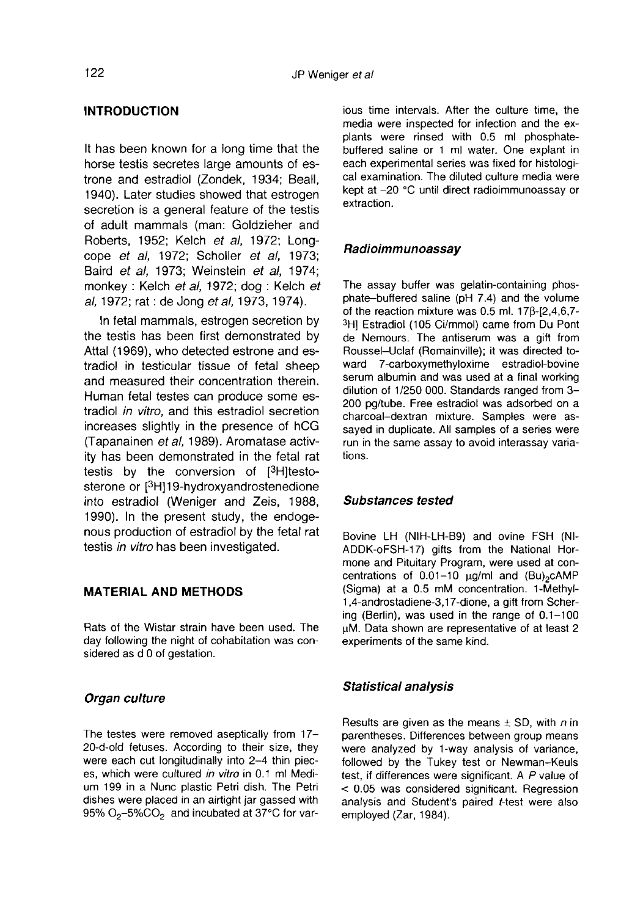## INTRODUCTION

It has been known for a long time that the horse testis secretes large amounts of estrone and estradiol (Zondek, 1934; Beall, 1940). Later studies showed that estrogen secretion is a general feature of the testis of adult mammals (man: Goldzieher and Roberts, 1952; Kelch et al, 1972; Longcope et al, 1972; Scholler et al, 1973; Baird et al, 1973; Weinstein et al, 1974; monkey : Kelch et al, 1972; dog : Kelch et al, 1972; rat : de Jong et al, 1973, 1974).

In fetal mammals, estrogen secretion by the testis has been first demonstrated by Attal (1969), who detected estrone and estradiol in testicular tissue of fetal sheep and measured their concentration therein. Human fetal testes can produce some estradiol in vitro, and this estradiol secretion increases slightly in the presence of hCG (Tapanainen et al, 1989). Aromatase activity has been demonstrated in the fetal rat testis by the conversion of  $[^3H]$ testo-<br>sterone or  $[^3H]$ 19-hydroxyandrostenedione Baird *et al,* 1973; Weinstein *et al,* 1974; monkey : Kelch *et al,* 1972; dog : Kelch *et al,* 1972; rat : de Jong *et al,* 1973, 1974).<br>In fetal mammals, estrogen secretion by the testis has been first demonstrated by into estradiol (Weniger and Zeis, 1988, 1990). In the present study, the endoge nous production of estradiol by the fetal rat testis in vitro has been investigated.

## MATERIAL AND METHODS

Rats of the Wistar strain have been used. The day following the night of cohabitation was considered as d 0 of gestation.

#### Organ culture

The testes were removed aseptically from 17- 20-d-old fetuses. According to their size, they were each cut longitudinally into 2-4 thin piec es, which were cultured in vitro in 0.1 ml Medium 199 in a Nunc plastic Petri dish. The Petri dishes were placed in an airtight jar gassed with 95%  $O_2$ -5%C $O_2$  and incubated at 37°C for various time intervals. After the culture time, the media were inspected for infection and the explants were rinsed with 0.5 ml phosphatebuffered saline or 1 ml water. One explant in each experimental series was fixed for histological examination. The diluted culture media were kept at -20 °C until direct radioimmunoassay or extraction.

#### Radioimmunoassay

The assay buffer was gelatin-containing phosphate-buffered saline (pH 7.4) and the volume of the reaction mixture was 0.5 ml. 17p-[2,4,6,7- 3H] Estradiol (105 Ci/mmol) came from Du Pont de Nemours. The antiserum was a gift from Roussel-Uclaf (Romainville); it was directed toward 7-carboxymethyloxime estradiol-bovine serum albumin and was used at a final working dilution of 1/250 000. Standards ranged from 3- 200 pg/tube. Free estradiol was adsorbed on a charcoal-dextran mixture. Samples were assayed in duplicate. All samples of a series were run in the same assay to avoid interassay variations.

#### Substances tested

Bovine LH (NIH-LH-B9) and ovine FSH (Nl-ADDK-oFSH-17) gifts from the National Hormone and Pituitary Program, were used at concentrations of  $0.01-10$   $\mu g/ml$  and  $(Bu)_{2}cAMP$ Bovine LH (NIH-LH-B9) and ovine FSH (NI-ADDK-oFSH-17) gifts from the National Hormone and Pituitary Program, were used at concentrations of 0.01-10  $\mu$ g/ml and (Bu)<sub>2</sub>cAMP (Sigma) at a 0.5 mM concentration. 1-Methyl-(Sigma) at a 0.5 mM concentration. 1-Methyl-1,4-androstadiene-3,17-dione, a gift from Schering (Berlin), was used in the range of 0.1-100 pM. Data shown are representative of at least 2 experiments of the same kind.

#### Statistical analysis

Results are given as the means  $\pm$  SD, with n in parentheses. Differences between group means were analyzed by 1-way analysis of variance, followed by the Tukey test or Newman-Keuls test, if differences were significant. A P value of < 0.05 was considered significant. Regression analysis and Student's paired t-test were also employed (Zar, 1984).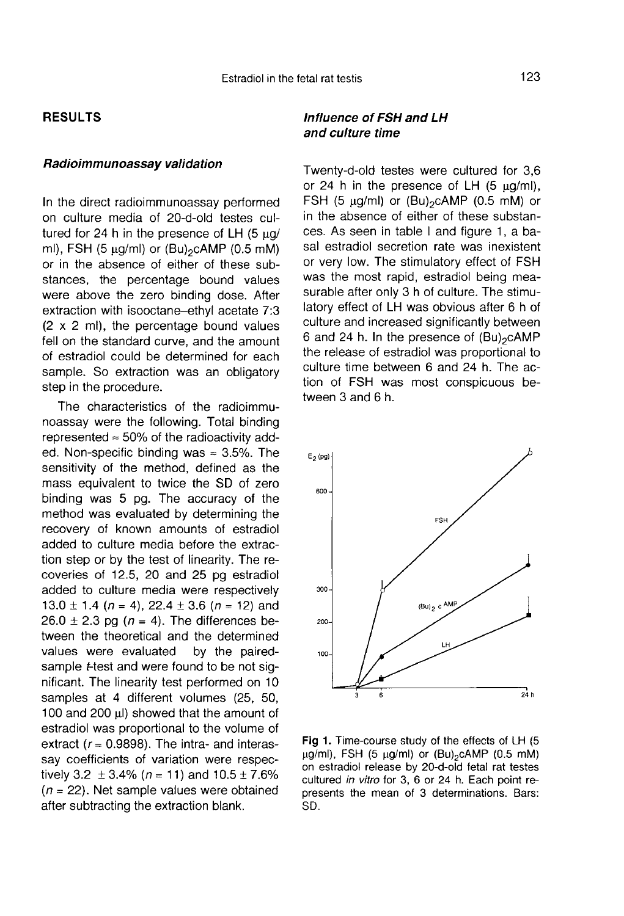## RESULTS

#### Radioimmunoassay validation

In the direct radioimmunoassay performed on culture media of 20-d-old testes cultured for 24 h in the presence of LH  $(5 \mu g/m)$ , FSH  $(5 \mu g/m)$  or  $(Bu)_2$ cAMP  $(0.5 \text{ mM})$ In the direct radioimmunoassay performed<br>on culture media of 20-d-old testes cul-<br>tured for 24 h in the presence of LH (5 µg/<br>ml), FSH (5 µg/ml) or (Bu)<sub>2</sub>cAMP (0.5 mM)<br>or in the absence of either of these substances, the percentage bound values were above the zero binding dose. After extraction with isooctane-ethyl acetate 7:3 (2 x 2 ml), the percentage bound values fell on the standard curve, and the amount of estradiol could be determined for each sample. So extraction was an obligatory step in the procedure.

The characteristics of the radioimmunoassay were the following. Total binding represented  $\approx$  50% of the radioactivity added. Non-specific binding was  $\approx 3.5\%$ . The sensitivity of the method, defined as the mass equivalent to twice the SD of zero binding was 5 pg. The accuracy of the method was evaluated by determining the recovery of known amounts of estradiol added to culture media before the extraction step or by the test of linearity. The recoveries of 12.5, 20 and 25 pg estradiol added to culture media were respectively 13.0  $\pm$  1.4 (n = 4), 22.4  $\pm$  3.6 (n = 12) and  $26.0 \pm 2.3$  pg (n = 4). The differences between the theoretical and the determined values were evaluated by the pairedsample *t*-test and were found to be not significant. The linearity test performed on 10 samples at 4 different volumes (25, 50, 100 and 200 µl) showed that the amount of estradiol was proportional to the volume of extract ( $r = 0.9898$ ). The intra- and interassay coefficients of variation were respectively 3.2  $\pm$  3.4% (n = 11) and 10.5  $\pm$  7.6%  $(n = 22)$ . Net sample values were obtained after subtracting the extraction blank.

## Influence of FSH and LH and culture time

Twenty-d-old testes were cultured for 3,6 or 24 h in the presence of LH (5  $\mu$ g/ml),<br>FSH (5  $\mu$ g/ml) or (Bu)<sub>2</sub>cAMP (0.5 mM) or and culture time<br>Twenty-d-old testes were cultured for 3,6<br>or 24 h in the presence of LH (5 µg/ml),<br>FSH (5 µg/ml) or (Bu)<sub>2</sub>cAMP (0.5 mM) or<br>in the absence of either of these substanin the absence of either of these substances. As seen in table I and figure 1, a basal estradiol secretion rate was inexistent or very low. The stimulatory effect of FSH was the most rapid, estradiol being mea-<br>surable after only 3 h of culture. The stimu-<br>latory effect of LH was obvious after 6 h of<br>culture and increased significantly between<br>6 and 24 h. In the presence of (Bu)<sub>2</sub>cAMP<br>the surable after only 3 h of culture. The stimulatory effect of LH was obvious after 6 h of culture and increased significantly between the release of estradiol was proportional to culture time between 6 and 24 h. The action of FSH was most conspicuous between 3 and 6 h.



Fig 1. Time-course study of the effects of LH (5  $\mu$ g/ml), FSH (5  $\mu$ g/ml) or (Bu)<sub>2</sub>cAMP (0.5 mM) on estradiol release by 20-d-old fetal rat testes cultured in vitro for 3, 6 or 24 h. Each point represents the mean of 3 determinations. Bars: SD.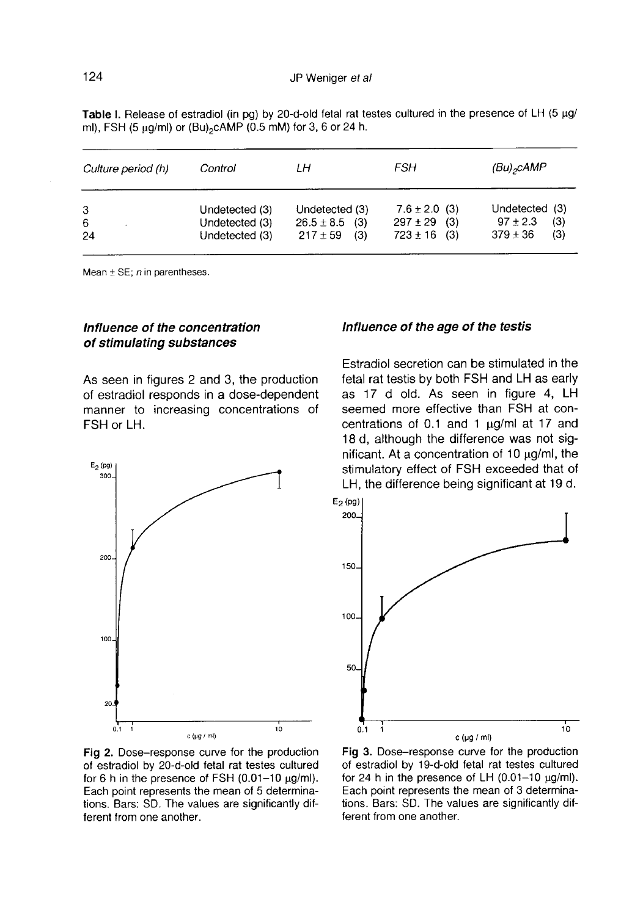| Culture period (h) | Control        | LН                 | FSH               | (Bu) <sub>2</sub> cAMP |
|--------------------|----------------|--------------------|-------------------|------------------------|
| 3                  | Undetected (3) | Undetected (3)     | $7.6 \pm 2.0$ (3) | Undetected (3)         |
| 6                  | Undetected (3) | $26.5 \pm 8.5$ (3) | $297 \pm 29$ (3)  | $97 \pm 2.3$<br>(3)    |
| 24                 | Undetected (3) | $217 \pm 59$ (3)   | $723 \pm 16$ (3)  | $379 \pm 36$<br>(3)    |

Table I. Release of estradiol (in pg) by 20-d-old fetal rat testes cultured in the presence of LH (5 µg/ ml), FSH (5 µg/ml) or (Bu)<sub>2</sub>cAMP (0.5 mM) for 3, 6 or 24 h.

Mean  $\pm$  SE; n in parentheses.

## Influence of the concentration of stimulating substances

As seen in figures 2 and 3, the production of estradiol responds in a dose-dependent manner to increasing concentrations of FSH or LH.



### Influence of the age of the testis

Estradiol secretion can be stimulated in the fetal rat testis by both FSH and LH as early as 17 d old. As seen in figure 4, LH seemed more effective than FSH at concentrations of 0.1 and 1  $\mu$ g/ml at 17 and 18 d, although the difference was not significant. At a concentration of  $10 \mu q/ml$ , the stimulatory effect of FSH exceeded that of LH, the difference being significant at 19 d.



Fig 2. Dose-response curve for the production of estradiol by 20-d-old fetal rat testes cultured for 6 h in the presence of FSH (0.01-10 µg/ml). Each point represents the mean of 5 determinations. Bars: SD. The values are significantly different from one another.

Fig 3. Dose-response curve for the production of estradiol by 19-d-old fetal rat testes cultured for 24 h in the presence of LH  $(0.01-10 \text{ µg/ml})$ . Each point represents the mean of 3 determinations. Bars: SD. The values are significantly different from one another.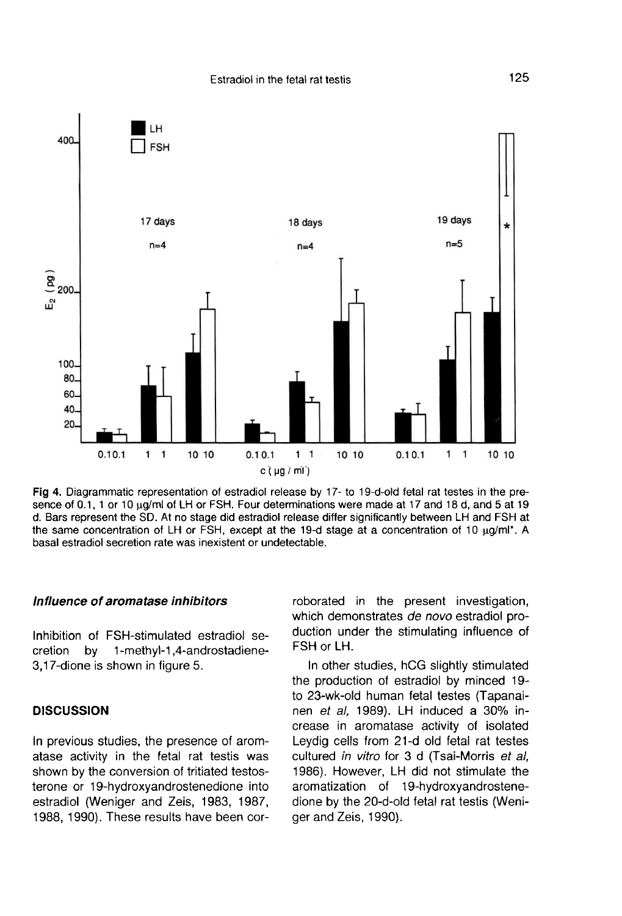

Fig 4. Diagrammatic representation of estradiol release by 17- to 19-d-old fetal rat testes in the presence of 0.1, 1 or 10 ug/ml of LH or FSH. Four determinations were made at 17 and 18 d, and 5 at 19 d. Bars represent the SD. At no stage did estradiol release differ significantly between LH and FSH at the same concentration of LH or FSH, except at the 19-d stage at a concentration of 10  $\mu q/\text{ml}^*$ . A basal estradiol secretion rate was inexistent or undetectable.

## Influence of aromatase inhibitors

Inhibition of FSH-stimulated estradiol secretion by 1-methyl-1,4-androstadiene-3,17-dione is shown in figure 5.

#### **DISCUSSION**

In previous studies, the presence of aromatase activity in the fetal rat testis was shown by the conversion of tritiated testosterone or 19-hydroxyandrostenedione into estradiol (Weniger and Zeis, 1983, 1987, 1988, 1990). These results have been corroborated in the present investigation, which demonstrates de novo estradiol production under the stimulating influence of FSH or LH.

In other studies, hCG slightly stimulated the production of estradiol by minced 19-<br>to 23-wk-old human fetal testes (Tapanainen et al. 1989). LH induced a 30% increase in aromatase activity of isolated Leydig cells from 21-d old fetal rat testes cultured in vitro for 3 d (Tsai-Morris et al, 1986). However, LH did not stimulate the aromatization of 19-hydroxyandrostenedione by the 20-d-old fetal rat testis (Weniger and Zeis, 1990).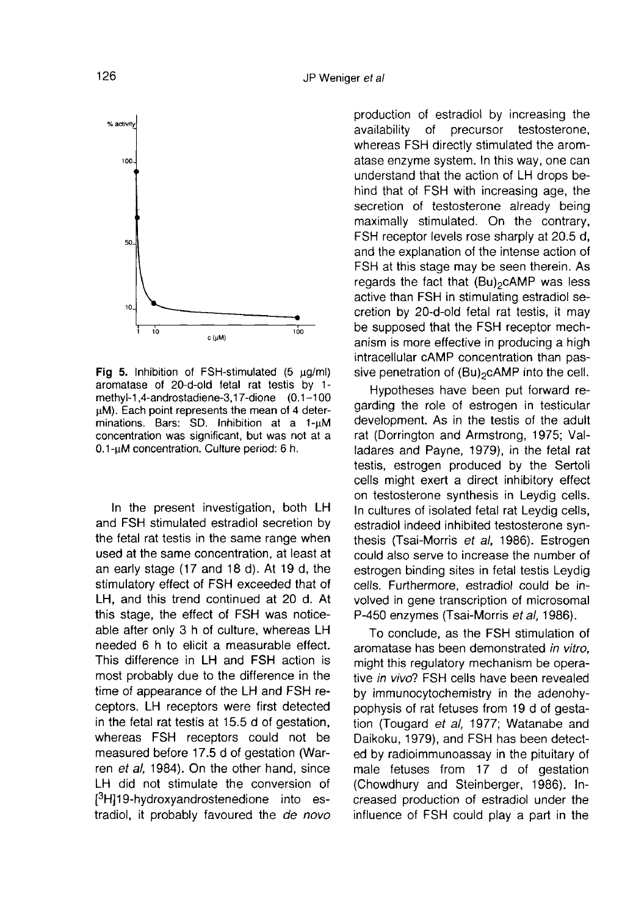

Fig 5. Inhibition of FSH-stimulated (5  $\mu$ g/ml) aromatase of 20-d-old fetal rat testis by 1methyl-1,4-androstadiene-3,17-dione (0.1-100 µM). Each point represents the mean of 4 determinations. Bars: SD. Inhibition at a 1-µM concentration was significant, but was not at a 0.1-µM concentration. Culture period: 6 h.

In the present investigation, both LH and FSH stimulated estradiol secretion by the fetal rat testis in the same range when used at the same concentration, at least at an early stage (17 and 18 d). At 19 d, the stimulatory effect of FSH exceeded that of LH, and this trend continued at 20 d. At this stage, the effect of FSH was noticeable after only 3 h of culture, whereas LH needed 6 h to elicit a measurable effect. This difference in LH and FSH action is most probably due to the difference in the time of appearance of the LH and FSH receptors. LH receptors were first detected in the fetal rat testis at 15.5 d of gestation, whereas FSH receptors could not be measured before 17.5 d of gestation (War ren et al, 1984). On the other hand, since stimulatory effect of FSH excee<br>LH, and this trend continued a<br>this stage, the effect of FSH vable after only 3 h of culture, w<br>needed 6 h to elicit a measur.<br>This difference in LH and FSI<br>most probably due to the differen LH did not stimulate the conversion of H]19-hydroxyandrostenedione into estradiol, it probably favoured the de novo production of estradiol by increasing the<br>availability of precursor testosterone, testosterone, whereas FSH directly stimulated the aromatase enzyme system. In this way, one can understand that the action of LH drops behind that of FSH with increasing age, the secretion of testosterone already being maximally stimulated. On the contrary,<br>FSH receptor levels rose sharply at 20.5 d,<br>and the explanation of the intense action of<br>FSH at this stage may be seen therein. As<br>regards the fact that  $(Bu)<sub>2</sub>cAMP$  was less<br>active FSH receptor levels rose sharply at 20.5 d, and the explanation of the intense action of FSH at this stage may be seen therein. As regards the fact that  $(Bu)_{2}$ cAMP was less active than FSH in stimulating estradiol secretion by 20-d-old fetal rat testis, it may be supposed that the FSH receptor mechanism is more effective in producing a high intracellular cAMP concentration than passive penetration of (Bu)<sub>2</sub>cAMP into the cell.

Hypotheses have been put forward regarding the role of estrogen in testicular development. As in the testis of the adult rat (Dorrington and Armstrong, 1975; Valladares and Payne, 1979), in the fetal rat testis, estrogen produced by the Sertoli cells might exert a direct inhibitory effect on testosterone synthesis in Leydig cells. In cultures of isolated fetal rat Leydig cells, estradiol indeed inhibited testosterone synthesis (Tsai-Morris et al, 1986). Estrogen could also serve to increase the number of estrogen binding sites in fetal testis Leydig cells. Furthermore, estradiol could be involved in gene transcription of microsomal P-450 enzymes (Tsai-Morris et al, 1986).

To conclude, as the FSH stimulation of aromatase has been demonstrated in vitro, might this regulatory mechanism be operative in vivo? FSH cells have been revealed by immunocytochemistry in the adenohypophysis of rat fetuses from 19 d of gestation (Tougard et al. 1977; Watanabe and Daikoku, 1979), and FSH has been detected by radioimmunoassay in the pituitary of male fetuses from 17 d of gestation (Chowdhury and Steinberger, 1986). Increased production of estradiol under the influence of FSH could play a part in the